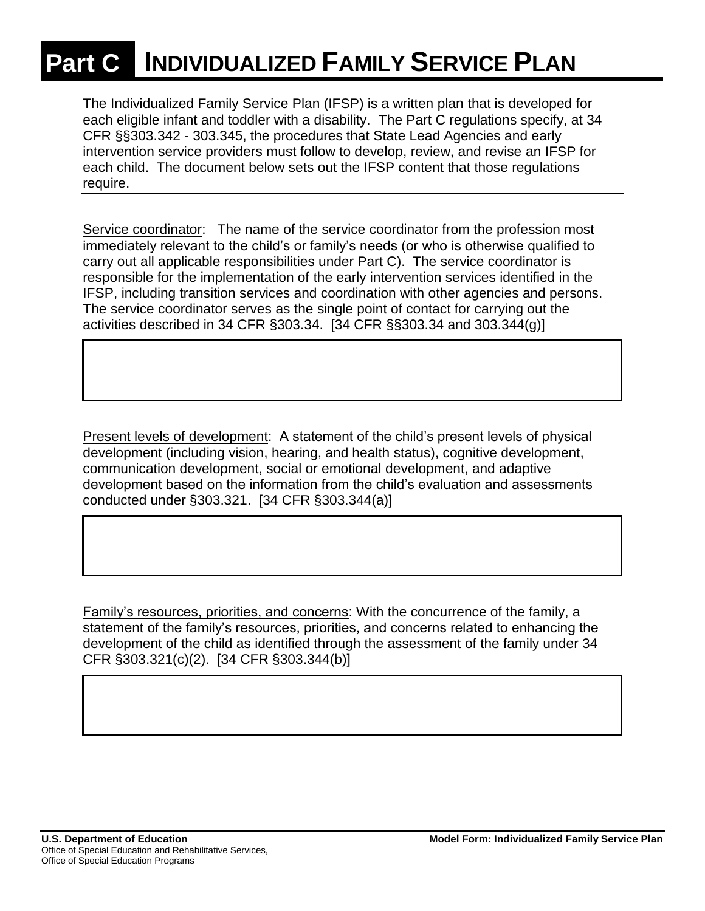## **Part C INDIVIDUALIZED FAMILY SERVICE PLAN**

The Individualized Family Service Plan (IFSP) is a written plan that is developed for each eligible infant and toddler with a disability. The Part C regulations specify, at 34 CFR §§303.342 - 303.345, the procedures that State Lead Agencies and early intervention service providers must follow to develop, review, and revise an IFSP for each child. The document below sets out the IFSP content that those regulations require.

Service coordinator: The name of the service coordinator from the profession most immediately relevant to the child's or family's needs (or who is otherwise qualified to carry out all applicable responsibilities under Part C). The service coordinator is responsible for the implementation of the early intervention services identified in the IFSP, including transition services and coordination with other agencies and persons. The service coordinator serves as the single point of contact for carrying out the activities described in 34 CFR §303.34. [34 CFR §§303.34 and 303.344(g)]

Present levels of development: A statement of the child's present levels of physical development (including vision, hearing, and health status), cognitive development, communication development, social or emotional development, and adaptive development based on the information from the child's evaluation and assessments conducted under §303.321. [34 CFR §303.344(a)]

Family's resources, priorities, and concerns: With the concurrence of the family, a statement of the family's resources, priorities, and concerns related to enhancing the development of the child as identified through the assessment of the family under 34 CFR §303.321(c)(2). [34 CFR §303.344(b)]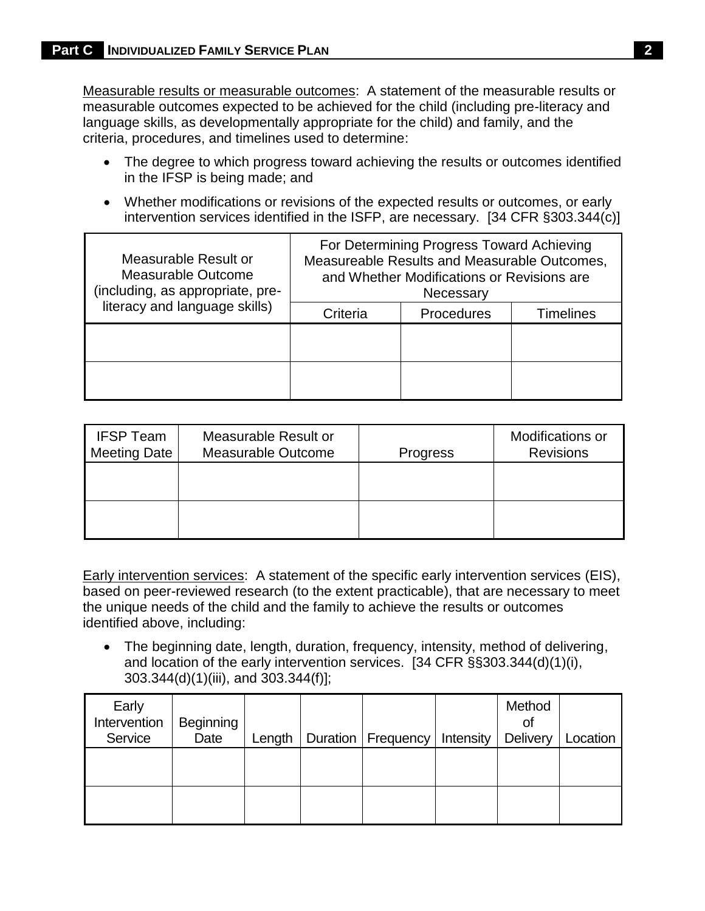Measurable results or measurable outcomes: A statement of the measurable results or measurable outcomes expected to be achieved for the child (including pre-literacy and language skills, as developmentally appropriate for the child) and family, and the criteria, procedures, and timelines used to determine:

- The degree to which progress toward achieving the results or outcomes identified in the IFSP is being made; and
- Whether modifications or revisions of the expected results or outcomes, or early intervention services identified in the ISFP, are necessary. [34 CFR §303.344(c)]

| Measurable Result or<br>Measurable Outcome<br>(including, as appropriate, pre-<br>literacy and language skills) | For Determining Progress Toward Achieving<br>Measureable Results and Measurable Outcomes,<br>and Whether Modifications or Revisions are<br>Necessary |                   |                  |  |
|-----------------------------------------------------------------------------------------------------------------|------------------------------------------------------------------------------------------------------------------------------------------------------|-------------------|------------------|--|
|                                                                                                                 | Criteria                                                                                                                                             | <b>Procedures</b> | <b>Timelines</b> |  |
|                                                                                                                 |                                                                                                                                                      |                   |                  |  |
|                                                                                                                 |                                                                                                                                                      |                   |                  |  |

| <b>IFSP Team</b><br>Meeting Date | Measurable Result or<br>Measurable Outcome | <b>Progress</b> | Modifications or<br><b>Revisions</b> |
|----------------------------------|--------------------------------------------|-----------------|--------------------------------------|
|                                  |                                            |                 |                                      |
|                                  |                                            |                 |                                      |

Early intervention services: A statement of the specific early intervention services (EIS), based on peer-reviewed research (to the extent practicable), that are necessary to meet the unique needs of the child and the family to achieve the results or outcomes identified above, including:

• The beginning date, length, duration, frequency, intensity, method of delivering, and location of the early intervention services. [34 CFR §§303.344(d)(1)(i), 303.344(d)(1)(iii), and 303.344(f)];

| Early<br>Intervention<br>Service | Beginning<br>Date | Length | Duration   Frequency | Intensity | Method<br>οf<br><b>Delivery</b> | Location |
|----------------------------------|-------------------|--------|----------------------|-----------|---------------------------------|----------|
|                                  |                   |        |                      |           |                                 |          |
|                                  |                   |        |                      |           |                                 |          |
|                                  |                   |        |                      |           |                                 |          |
|                                  |                   |        |                      |           |                                 |          |
|                                  |                   |        |                      |           |                                 |          |
|                                  |                   |        |                      |           |                                 |          |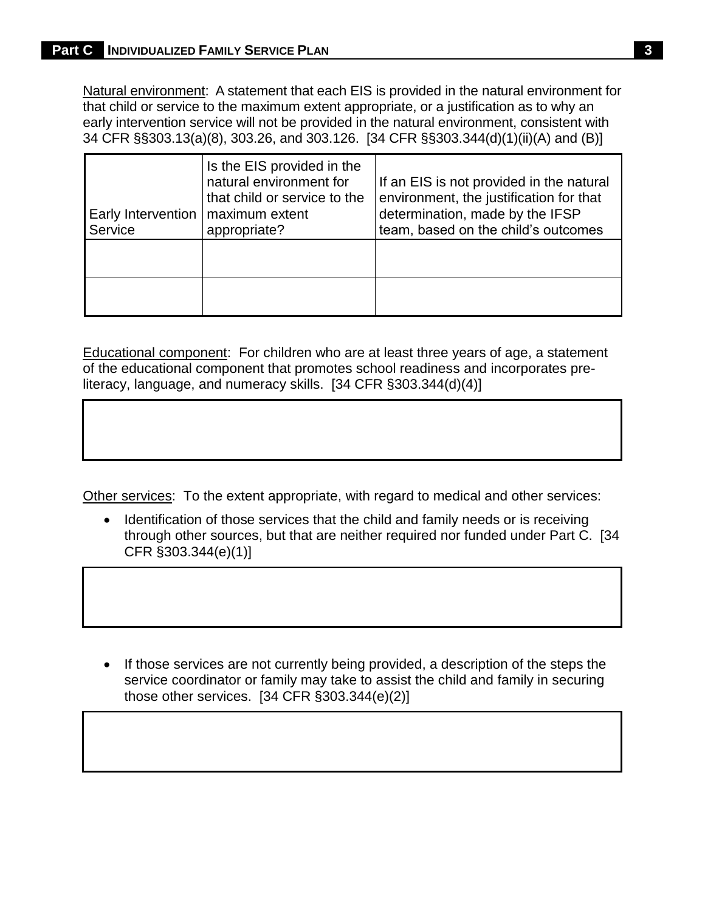Natural environment: A statement that each EIS is provided in the natural environment for that child or service to the maximum extent appropriate, or a justification as to why an early intervention service will not be provided in the natural environment, consistent with 34 CFR §§303.13(a)(8), 303.26, and 303.126. [34 CFR §§303.344(d)(1)(ii)(A) and (B)]

| Early Intervention<br>Service | Is the EIS provided in the<br>natural environment for<br>that child or service to the<br>maximum extent<br>appropriate? | If an EIS is not provided in the natural<br>environment, the justification for that<br>determination, made by the IFSP<br>team, based on the child's outcomes |
|-------------------------------|-------------------------------------------------------------------------------------------------------------------------|---------------------------------------------------------------------------------------------------------------------------------------------------------------|
|                               |                                                                                                                         |                                                                                                                                                               |
|                               |                                                                                                                         |                                                                                                                                                               |

Educational component: For children who are at least three years of age, a statement of the educational component that promotes school readiness and incorporates preliteracy, language, and numeracy skills. [34 CFR §303.344(d)(4)]

Other services: To the extent appropriate, with regard to medical and other services:

• Identification of those services that the child and family needs or is receiving through other sources, but that are neither required nor funded under Part C. [34 CFR §303.344(e)(1)]

 If those services are not currently being provided, a description of the steps the service coordinator or family may take to assist the child and family in securing those other services. [34 CFR §303.344(e)(2)]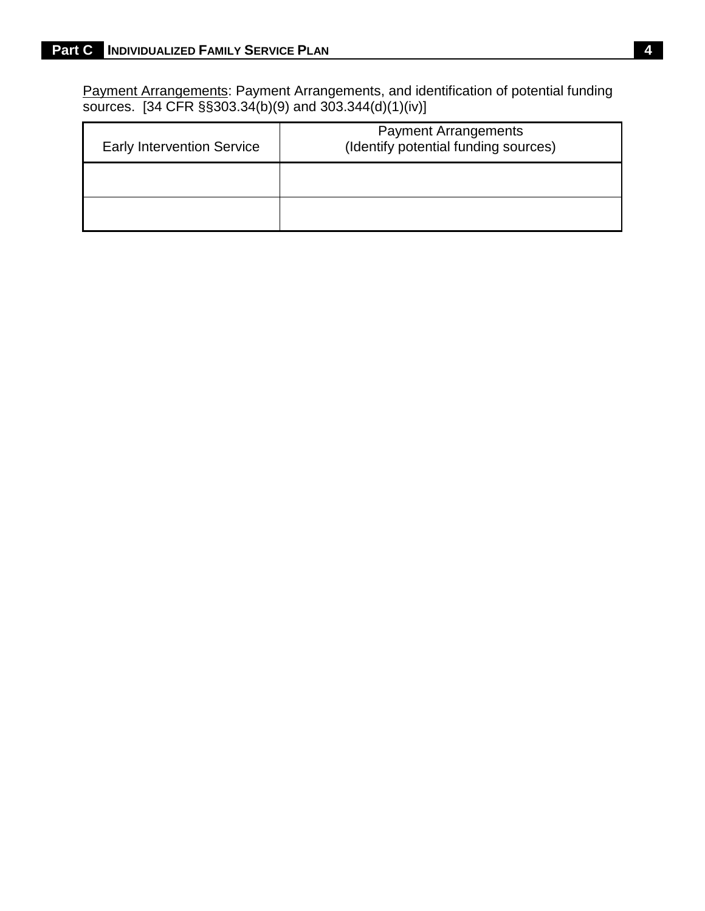Payment Arrangements: Payment Arrangements, and identification of potential funding sources. [34 CFR §§303.34(b)(9) and 303.344(d)(1)(iv)]

| <b>Early Intervention Service</b> | <b>Payment Arrangements</b><br>(Identify potential funding sources) |
|-----------------------------------|---------------------------------------------------------------------|
|                                   |                                                                     |
|                                   |                                                                     |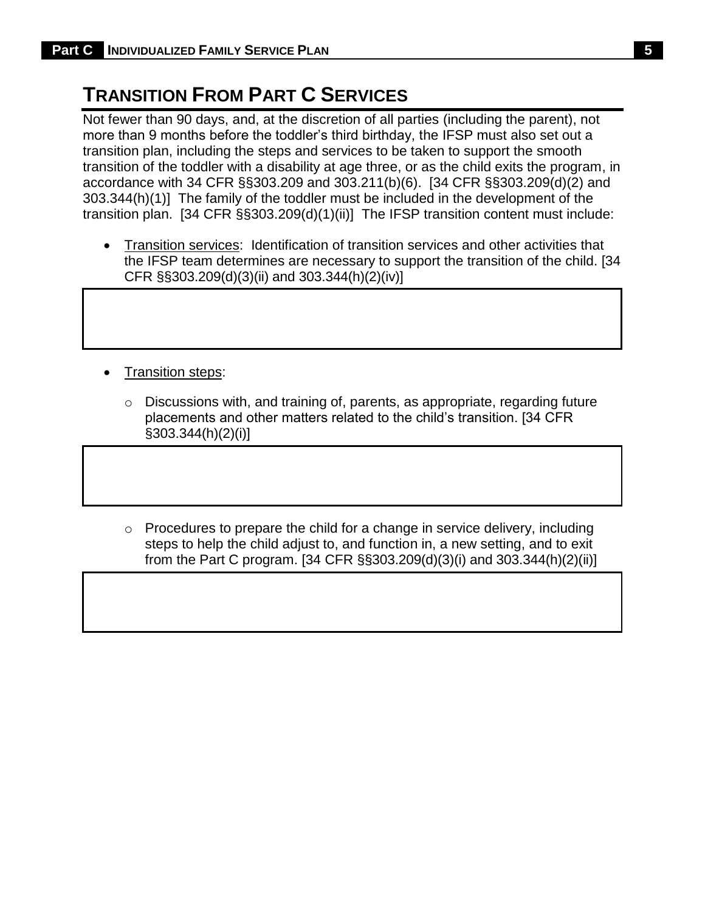## **TRANSITION FROM PART C SERVICES**

Not fewer than 90 days, and, at the discretion of all parties (including the parent), not more than 9 months before the toddler's third birthday, the IFSP must also set out a transition plan, including the steps and services to be taken to support the smooth transition of the toddler with a disability at age three, or as the child exits the program, in accordance with 34 CFR §§303.209 and 303.211(b)(6). [34 CFR §§303.209(d)(2) and 303.344(h)(1)] The family of the toddler must be included in the development of the transition plan. [34 CFR §§303.209(d)(1)(ii)] The IFSP transition content must include:

- Transition services: Identification of transition services and other activities that the IFSP team determines are necessary to support the transition of the child. [34 CFR §§303.209(d)(3)(ii) and 303.344(h)(2)(iv)]
- Transition steps:
	- o Discussions with, and training of, parents, as appropriate, regarding future placements and other matters related to the child's transition. [34 CFR §303.344(h)(2)(i)]
	- $\circ$  Procedures to prepare the child for a change in service delivery, including steps to help the child adjust to, and function in, a new setting, and to exit from the Part C program. [34 CFR §§303.209(d)(3)(i) and 303.344(h)(2)(ii)]